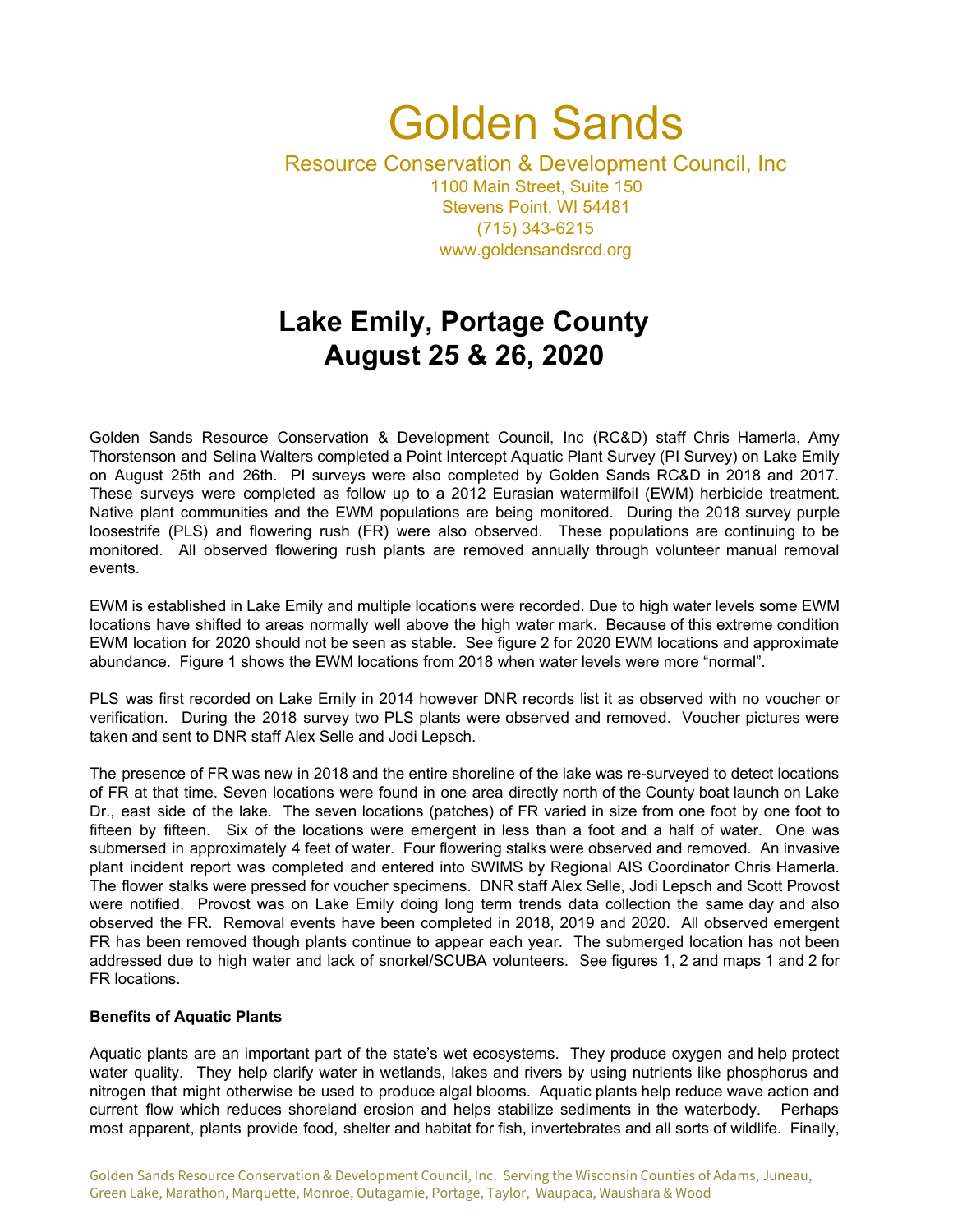## Golden Sands Resource Conservation & Development Council, Inc 1100 Main Street, Suite 150 Stevens Point, WI 54481 (715) 343-6215 www.goldensandsrcd.org

# **Lake Emily, Portage County August 25 & 26, 2020**

Golden Sands Resource Conservation & Development Council, Inc (RC&D) staff Chris Hamerla, Amy Thorstenson and Selina Walters completed a Point Intercept Aquatic Plant Survey (PI Survey) on Lake Emily on August 25th and 26th. PI surveys were also completed by Golden Sands RC&D in 2018 and 2017. These surveys were completed as follow up to a 2012 Eurasian watermilfoil (EWM) herbicide treatment. Native plant communities and the EWM populations are being monitored. During the 2018 survey purple loosestrife (PLS) and flowering rush (FR) were also observed. These populations are continuing to be monitored. All observed flowering rush plants are removed annually through volunteer manual removal events.

EWM is established in Lake Emily and multiple locations were recorded. Due to high water levels some EWM locations have shifted to areas normally well above the high water mark. Because of this extreme condition EWM location for 2020 should not be seen as stable. See figure 2 for 2020 EWM locations and approximate abundance. Figure 1 shows the EWM locations from 2018 when water levels were more "normal".

PLS was first recorded on Lake Emily in 2014 however DNR records list it as observed with no voucher or verification. During the 2018 survey two PLS plants were observed and removed. Voucher pictures were taken and sent to DNR staff Alex Selle and Jodi Lepsch.

The presence of FR was new in 2018 and the entire shoreline of the lake was re-surveyed to detect locations of FR at that time. Seven locations were found in one area directly north of the County boat launch on Lake Dr., east side of the lake. The seven locations (patches) of FR varied in size from one foot by one foot to fifteen by fifteen. Six of the locations were emergent in less than a foot and a half of water. One was submersed in approximately 4 feet of water. Four flowering stalks were observed and removed. An invasive plant incident report was completed and entered into SWIMS by Regional AIS Coordinator Chris Hamerla. The flower stalks were pressed for voucher specimens. DNR staff Alex Selle, Jodi Lepsch and Scott Provost were notified. Provost was on Lake Emily doing long term trends data collection the same day and also observed the FR. Removal events have been completed in 2018, 2019 and 2020. All observed emergent FR has been removed though plants continue to appear each year. The submerged location has not been addressed due to high water and lack of snorkel/SCUBA volunteers. See figures 1, 2 and maps 1 and 2 for FR locations.

#### **Benefits of Aquatic Plants**

Aquatic plants are an important part of the state's wet ecosystems. They produce oxygen and help protect water quality. They help clarify water in wetlands, lakes and rivers by using nutrients like phosphorus and nitrogen that might otherwise be used to produce algal blooms. Aquatic plants help reduce wave action and current flow which reduces shoreland erosion and helps stabilize sediments in the waterbody. Perhaps most apparent, plants provide food, shelter and habitat for fish, invertebrates and all sorts of wildlife. Finally,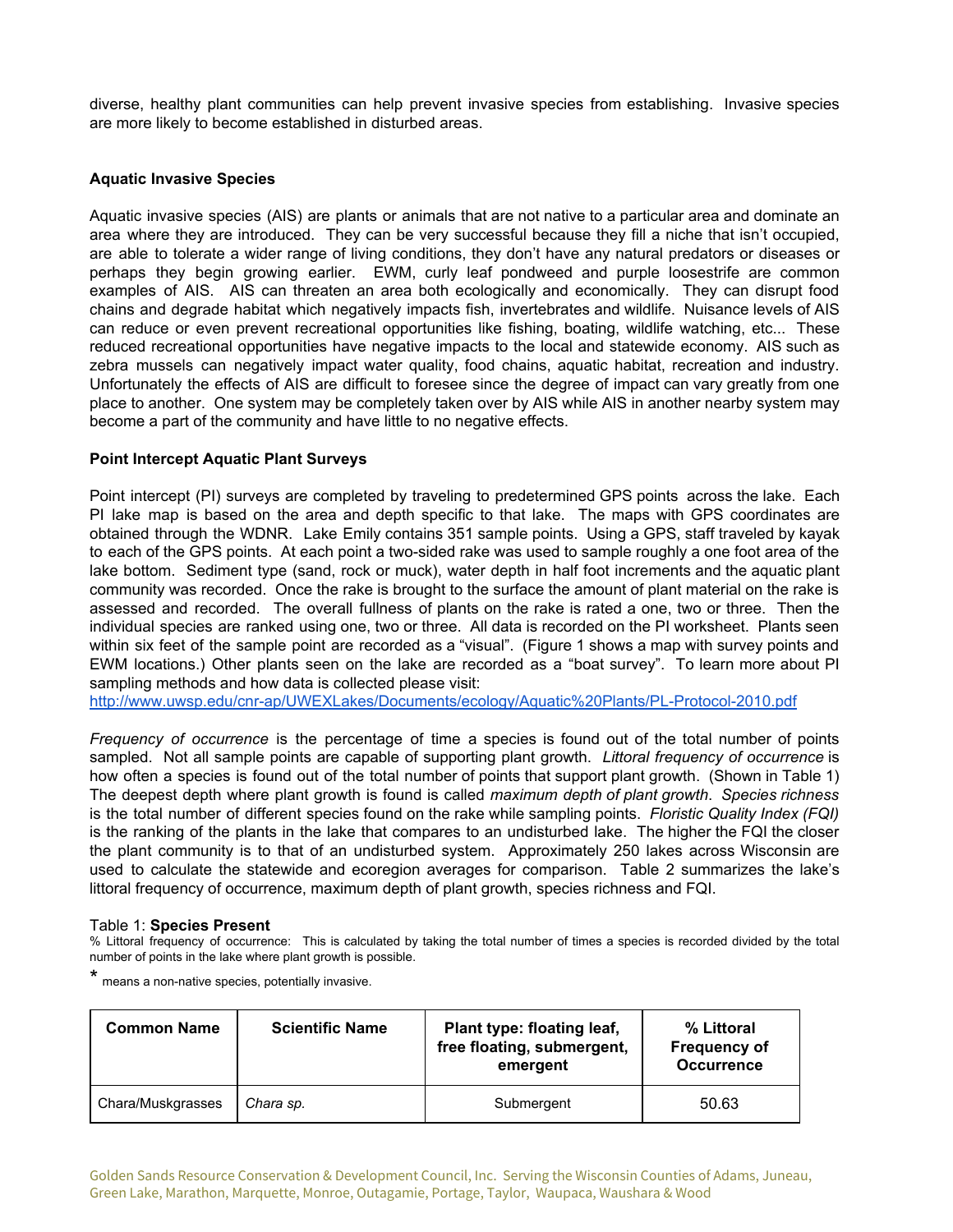diverse, healthy plant communities can help prevent invasive species from establishing. Invasive species are more likely to become established in disturbed areas.

#### **Aquatic Invasive Species**

Aquatic invasive species (AIS) are plants or animals that are not native to a particular area and dominate an area where they are introduced. They can be very successful because they fill a niche that isn't occupied, are able to tolerate a wider range of living conditions, they don't have any natural predators or diseases or perhaps they begin growing earlier. EWM, curly leaf pondweed and purple loosestrife are common examples of AIS. AIS can threaten an area both ecologically and economically. They can disrupt food chains and degrade habitat which negatively impacts fish, invertebrates and wildlife. Nuisance levels of AIS can reduce or even prevent recreational opportunities like fishing, boating, wildlife watching, etc... These reduced recreational opportunities have negative impacts to the local and statewide economy. AIS such as zebra mussels can negatively impact water quality, food chains, aquatic habitat, recreation and industry. Unfortunately the effects of AIS are difficult to foresee since the degree of impact can vary greatly from one place to another. One system may be completely taken over by AIS while AIS in another nearby system may become a part of the community and have little to no negative effects.

#### **Point Intercept Aquatic Plant Surveys**

Point intercept (PI) surveys are completed by traveling to predetermined GPS points across the lake. Each PI lake map is based on the area and depth specific to that lake. The maps with GPS coordinates are obtained through the WDNR. Lake Emily contains 351 sample points. Using a GPS, staff traveled by kayak to each of the GPS points. At each point a two-sided rake was used to sample roughly a one foot area of the lake bottom. Sediment type (sand, rock or muck), water depth in half foot increments and the aquatic plant community was recorded. Once the rake is brought to the surface the amount of plant material on the rake is assessed and recorded. The overall fullness of plants on the rake is rated a one, two or three. Then the individual species are ranked using one, two or three. All data is recorded on the PI worksheet. Plants seen within six feet of the sample point are recorded as a "visual". (Figure 1 shows a map with survey points and EWM locations.) Other plants seen on the lake are recorded as a "boat survey". To learn more about PI sampling methods and how data is collected please visit:

<http://www.uwsp.edu/cnr-ap/UWEXLakes/Documents/ecology/Aquatic%20Plants/PL-Protocol-2010.pdf>

*Frequency of occurrence* is the percentage of time a species is found out of the total number of points sampled. Not all sample points are capable of supporting plant growth. *Littoral frequency of occurrence* is how often a species is found out of the total number of points that support plant growth. (Shown in Table 1) The deepest depth where plant growth is found is called *maximum depth of plant growth*. *Species richness* is the total number of different species found on the rake while sampling points. *Floristic Quality Index (FQI)* is the ranking of the plants in the lake that compares to an undisturbed lake. The higher the FQI the closer the plant community is to that of an undisturbed system. Approximately 250 lakes across Wisconsin are used to calculate the statewide and ecoregion averages for comparison. Table 2 summarizes the lake's littoral frequency of occurrence, maximum depth of plant growth, species richness and FQI.

#### Table 1: **Species Present**

% Littoral frequency of occurrence: This is calculated by taking the total number of times a species is recorded divided by the total number of points in the lake where plant growth is possible.

\* means <sup>a</sup> non-native species, potentially invasive.

| <b>Common Name</b> | <b>Scientific Name</b> | Plant type: floating leaf,<br>free floating, submergent,<br>emergent | % Littoral<br><b>Frequency of</b><br><b>Occurrence</b> |
|--------------------|------------------------|----------------------------------------------------------------------|--------------------------------------------------------|
| Chara/Muskgrasses  | Chara sp.              | Submergent                                                           | 50.63                                                  |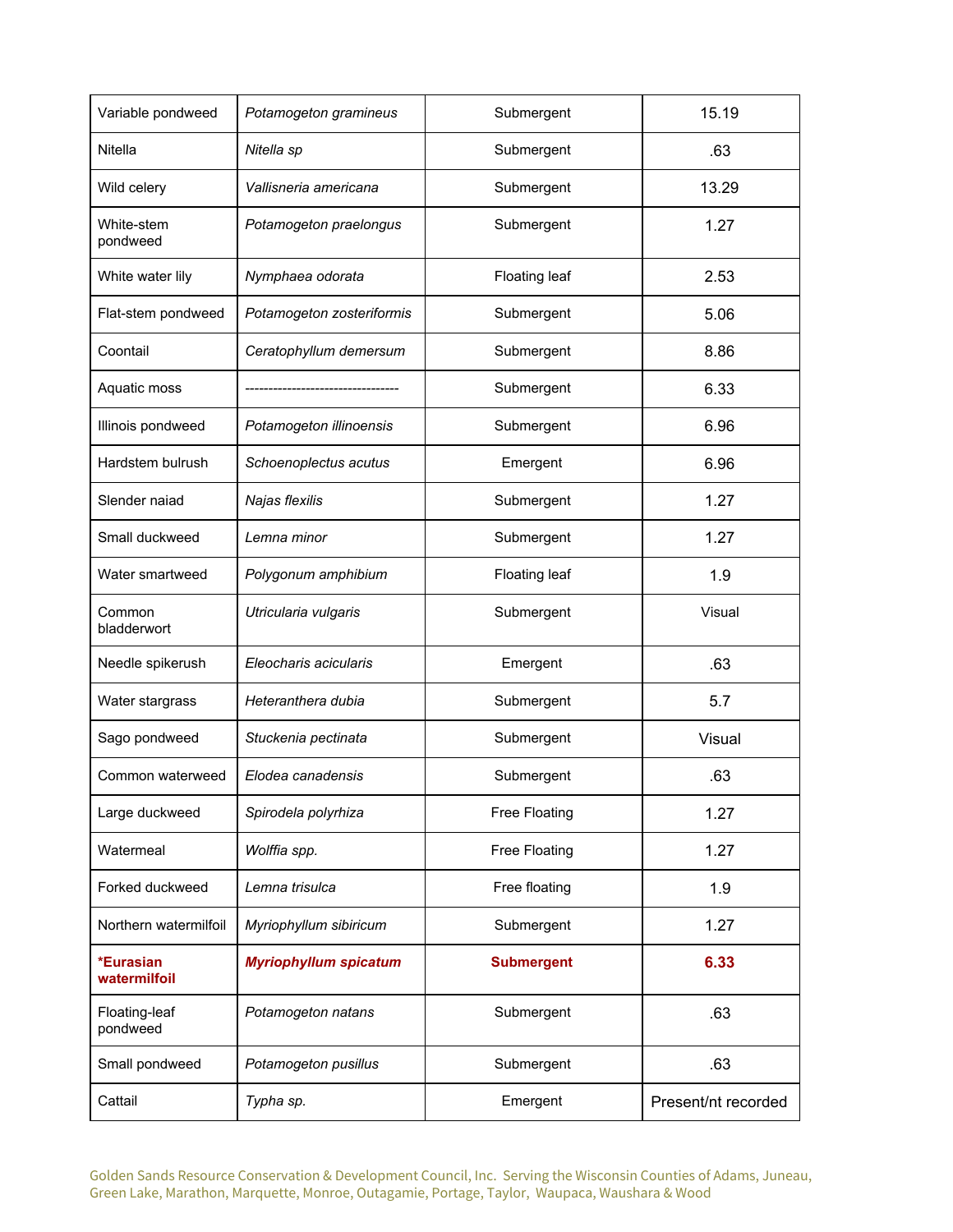| Variable pondweed         | Potamogeton gramineus        | Submergent        | 15.19               |
|---------------------------|------------------------------|-------------------|---------------------|
| Nitella                   | Nitella sp                   | Submergent        | .63                 |
| Wild celery               | Vallisneria americana        | Submergent        | 13.29               |
| White-stem<br>pondweed    | Potamogeton praelongus       | Submergent        | 1.27                |
| White water lily          | Nymphaea odorata             | Floating leaf     | 2.53                |
| Flat-stem pondweed        | Potamogeton zosteriformis    | Submergent        | 5.06                |
| Coontail                  | Ceratophyllum demersum       | Submergent        | 8.86                |
| Aquatic moss              |                              | Submergent        | 6.33                |
| Illinois pondweed         | Potamogeton illinoensis      | Submergent        | 6.96                |
| Hardstem bulrush          | Schoenoplectus acutus        | Emergent          | 6.96                |
| Slender naiad             | Najas flexilis               | Submergent        | 1.27                |
| Small duckweed            | Lemna minor                  | Submergent        | 1.27                |
| Water smartweed           | Polygonum amphibium          | Floating leaf     | 1.9                 |
| Common<br>bladderwort     | Utricularia vulgaris         | Submergent        | Visual              |
| Needle spikerush          | Eleocharis acicularis        | Emergent          | .63                 |
| Water stargrass           | Heteranthera dubia           | Submergent        | 5.7                 |
| Sago pondweed             | Stuckenia pectinata          | Submergent        | Visual              |
| Common waterweed          | Elodea canadensis            | Submergent        | .63                 |
| Large duckweed            | Spirodela polyrhiza          | Free Floating     | 1.27                |
| Watermeal                 | Wolffia spp.                 | Free Floating     | 1.27                |
| Forked duckweed           | Lemna trisulca               | Free floating     | 1.9                 |
| Northern watermilfoil     | Myriophyllum sibiricum       | Submergent        | 1.27                |
| *Eurasian<br>watermilfoil | <b>Myriophyllum spicatum</b> | <b>Submergent</b> | 6.33                |
| Floating-leaf<br>pondweed | Potamogeton natans           | Submergent        | .63                 |
| Small pondweed            | Potamogeton pusillus         | Submergent        | .63                 |
| Cattail                   | Typha sp.                    | Emergent          | Present/nt recorded |

Golden Sands Resource Conservation & Development Council, Inc. Serving the Wisconsin Counties of Adams, Juneau, Green Lake, Marathon, Marquette, Monroe, Outagamie, Portage, Taylor, Waupaca, Waushara & Wood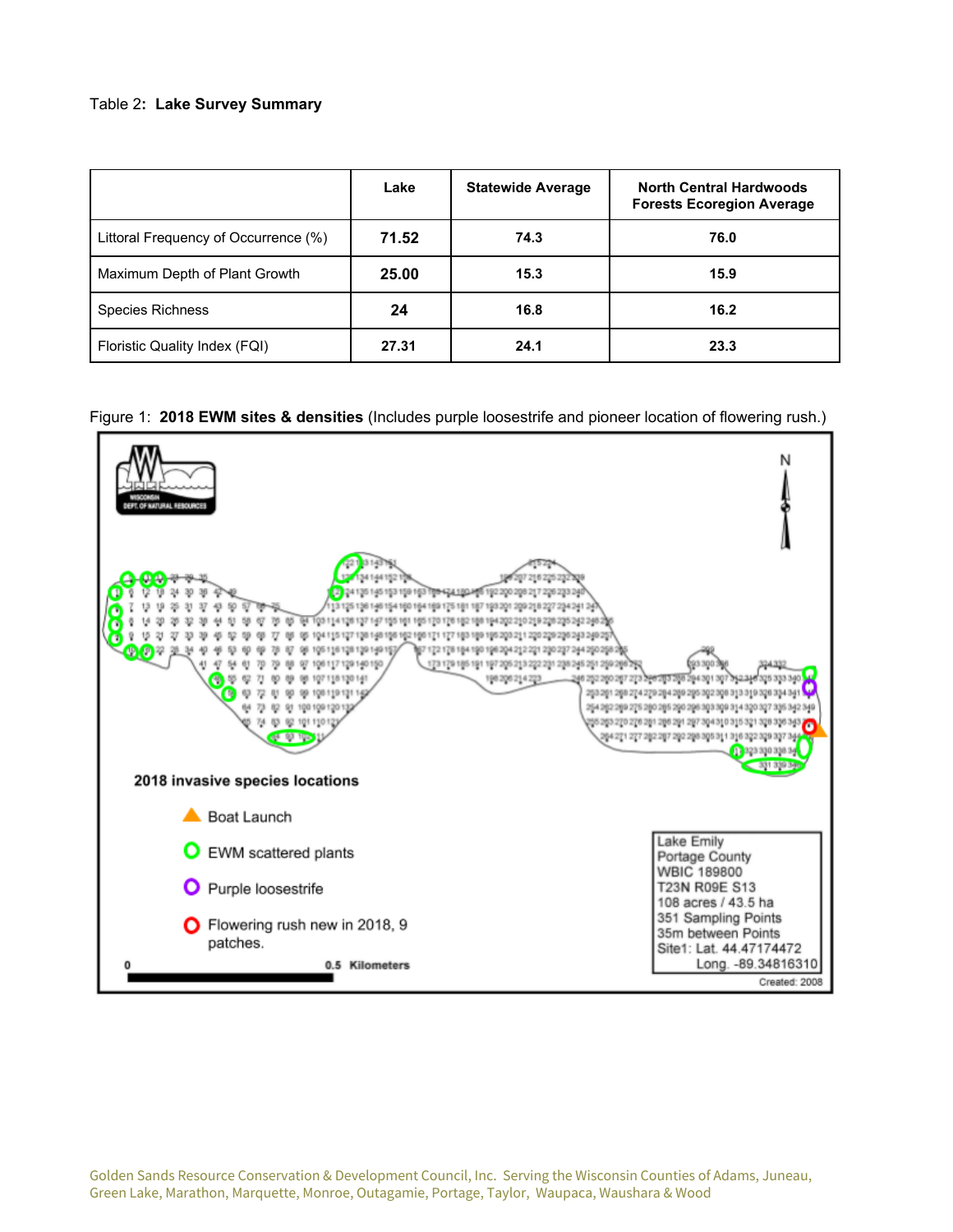### Table 2**: Lake Survey Summary**

|                                      | Lake  | <b>Statewide Average</b> | <b>North Central Hardwoods</b><br><b>Forests Ecoregion Average</b> |
|--------------------------------------|-------|--------------------------|--------------------------------------------------------------------|
| Littoral Frequency of Occurrence (%) | 71.52 | 74.3                     | 76.0                                                               |
| Maximum Depth of Plant Growth        | 25.00 | 15.3                     | 15.9                                                               |
| <b>Species Richness</b>              | 24    | 16.8                     | 16.2                                                               |
| Floristic Quality Index (FQI)        | 27.31 | 24.1                     | 23.3                                                               |

#### Figure 1: **2018 EWM sites & densities** (Includes purple loosestrife and pioneer location of flowering rush.)

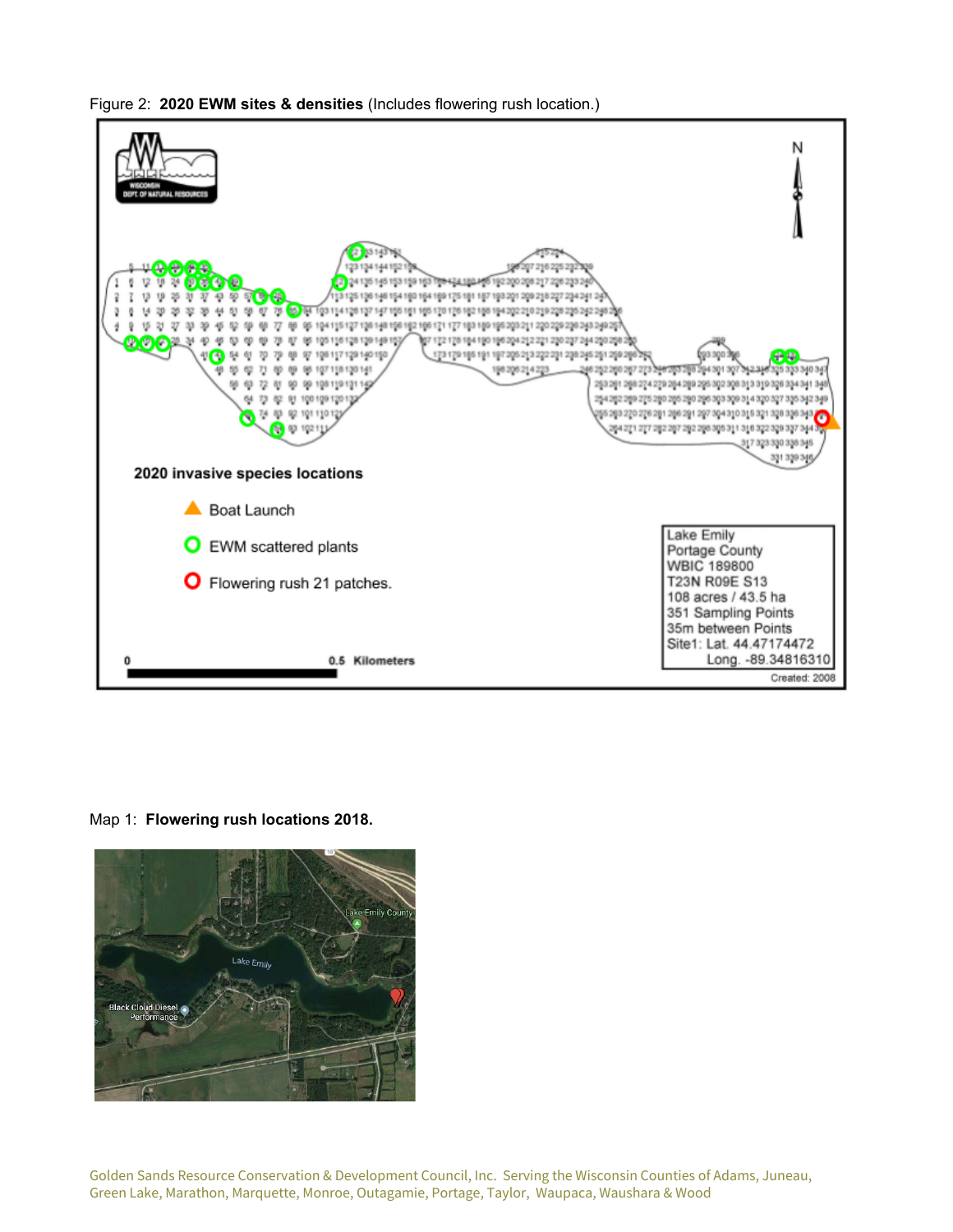

Figure 2: **2020 EWM sites & densities** (Includes flowering rush location.)

Map 1: **Flowering rush locations 2018.**